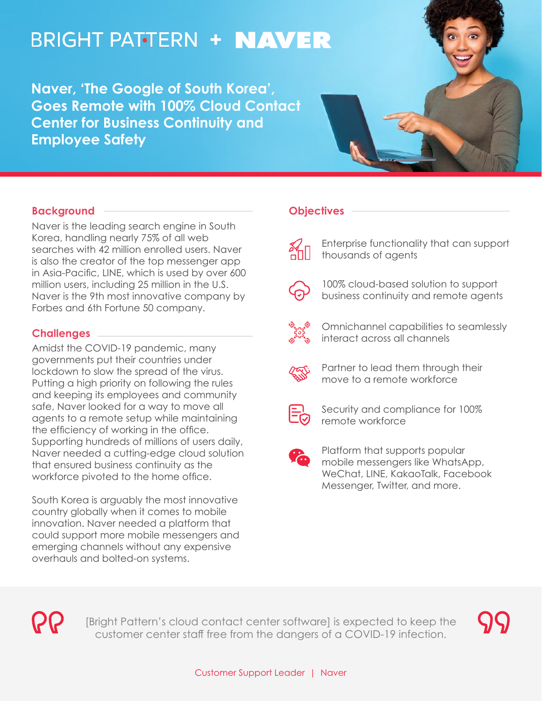# **BRIGHT PATTERN + NAVER**

**Naver, 'The Google of South Korea', Goes Remote with 100% Cloud Contact Center for Business Continuity and Employee Safety**

## **Background**

Naver is the leading search engine in South Korea, handling nearly 75% of all web searches with 42 million enrolled users. Naver is also the creator of the top messenger app in Asia-Pacific, LINE, which is used by over 600 million users, including 25 million in the U.S. Naver is the 9th most innovative company by Forbes and 6th Fortune 50 company.

## **Challenges**

Amidst the COVID-19 pandemic, many governments put their countries under lockdown to slow the spread of the virus. Putting a high priority on following the rules and keeping its employees and community safe, Naver looked for a way to move all agents to a remote setup while maintaining the efficiency of working in the office. Supporting hundreds of millions of users daily, Naver needed a cutting-edge cloud solution that ensured business continuity as the workforce pivoted to the home office.

South Korea is arguably the most innovative country globally when it comes to mobile innovation. Naver needed a platform that could support more mobile messengers and emerging channels without any expensive overhauls and bolted-on systems.

#### **Objectives**



Enterprise functionality that can support thousands of agents



100% cloud-based solution to support business continuity and remote agents



Omnichannel capabilities to seamlessly interact across all channels



Partner to lead them through their move to a remote workforce



Security and compliance for 100% remote workforce



Platform that supports popular mobile messengers like WhatsApp, WeChat, LINE, KakaoTalk, Facebook Messenger, Twitter, and more.



[Bright Pattern's cloud contact center software] is expected to keep the customer center staff free from the dangers of a COVID-19 infection.